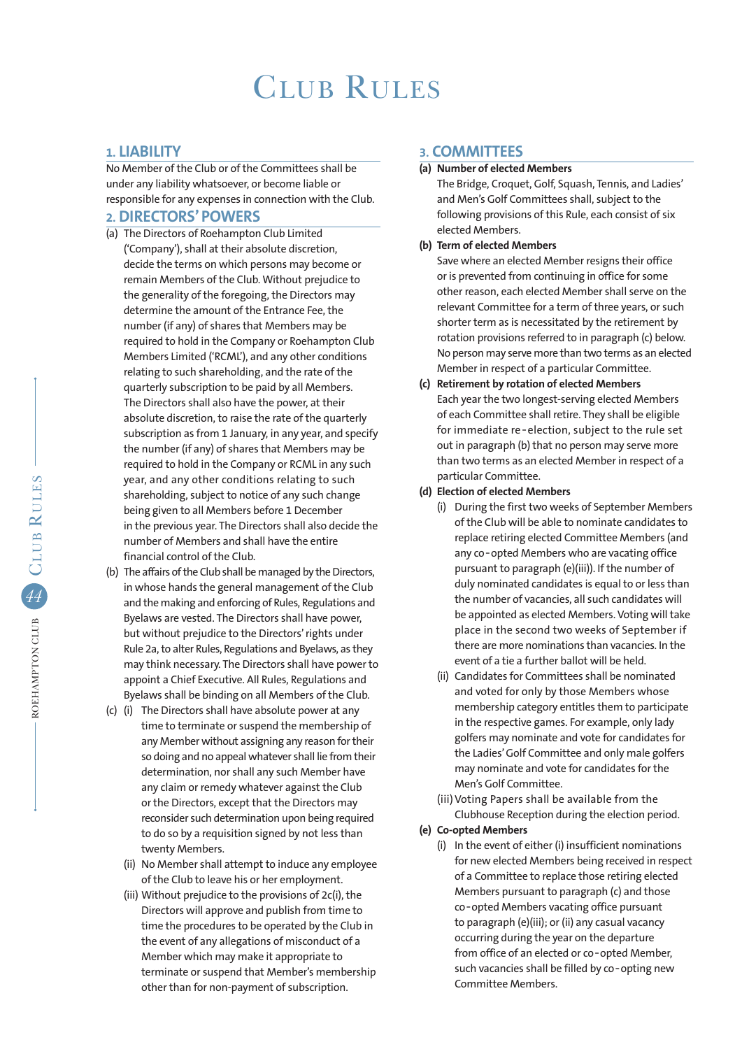# CLUB RULES

# **1. LIABILITY**

No Member of the Club or of the Committees shall be under any liability whatsoever, or become liable or responsible for any expenses in connection with the Club.

# **2. DIRECTORS' POWERS**

- (a) The Directors of Roehampton Club Limited ('Company'), shall at their absolute discretion, decide the terms on which persons may become or remain Members of the Club. Without prejudice to the generality of the foregoing, the Directors may determine the amount of the Entrance Fee, the number (if any) of shares that Members may be required to hold in the Company or Roehampton Club Members Limited ('RCML'), and any other conditions relating to such shareholding, and the rate of the quarterly subscription to be paid by all Members. The Directors shall also have the power, at their absolute discretion, to raise the rate of the quarterly subscription as from 1 January, in any year, and specify the number (if any) of shares that Members may be required to hold in the Company or RCML in any such year, and any other conditions relating to such shareholding, subject to notice of any such change being given to all Members before 1 December in the previous year. The Directors shall also decide the number of Members and shall have the entire financial control of the Club.
- (b) The affairs of the Club shall be managed by the Directors, in whose hands the general management of the Club and the making and enforcing of Rules, Regulations and Byelaws are vested. The Directors shall have power, but without prejudice to the Directors' rights under Rule 2a, to alter Rules, Regulations and Byelaws, as they may think necessary. The Directors shall have power to appoint a Chief Executive. All Rules, Regulations and Byelaws shall be binding on all Members of the Club.
- (c) (i) The Directors shall have absolute power at any time to terminate or suspend the membership of any Member without assigning any reason for their so doing and no appeal whatever shall lie from their determination, nor shall any such Member have any claim or remedy whatever against the Club or the Directors, except that the Directors may reconsider such determination upon being required to do so by a requisition signed by not less than twenty Members.
	- (ii) No Member shall attempt to induce any employee of the Club to leave his or her employment.
	- (iii) Without prejudice to the provisions of 2c(i), the Directors will approve and publish from time to time the procedures to be operated by the Club in the event of any allegations of misconduct of a Member which may make it appropriate to terminate or suspend that Member's membership other than for non-payment of subscription.

# **3. COMMITTEES**

**(a) Number of elected Members**

The Bridge, Croquet, Golf, Squash, Tennis, and Ladies' and Men's Golf Committees shall, subject to the following provisions of this Rule, each consist of six elected Members.

**(b) Term of elected Members**

 Save where an elected Member resigns their office or is prevented from continuing in office for some other reason, each elected Member shall serve on the relevant Committee for a term of three years, or such shorter term as is necessitated by the retirement by rotation provisions referred to in paragraph (c) below. No person may serve more than two terms as an elected Member in respect of a particular Committee.

- **(c) Retirement by rotation of elected Members** Each year the two longest-serving elected Members of each Committee shall retire. They shall be eligible for immediate re‑election, subject to the rule set out in paragraph (b) that no person may serve more than two terms as an elected Member in respect of a particular Committee.
- **(d) Election of elected Members**
	- (i) During the first two weeks of September Members of the Club will be able to nominate candidates to replace retiring elected Committee Members (and any co-opted Members who are vacating office pursuant to paragraph (e)(iii)). If the number of duly nominated candidates is equal to or less than the number of vacancies, all such candidates will be appointed as elected Members. Voting will take place in the second two weeks of September if there are more nominations than vacancies. In the event of a tie a further ballot will be held.
	- (ii) Candidates for Committees shall be nominated and voted for only by those Members whose membership category entitles them to participate in the respective games. For example, only lady golfers may nominate and vote for candidates for the Ladies' Golf Committee and only male golfers may nominate and vote for candidates for the Men's Golf Committee.
	- (iii) Voting Papers shall be available from the Clubhouse Reception during the election period.
- **(e) Co-opted Members**
	- (i) In the event of either (i) insufficient nominations for new elected Members being received in respect of a Committee to replace those retiring elected Members pursuant to paragraph (c) and those co‑opted Members vacating office pursuant to paragraph (e)(iii); or (ii) any casual vacancy occurring during the year on the departure from office of an elected or co-opted Member, such vacancies shall be filled by co-opting new Committee Members.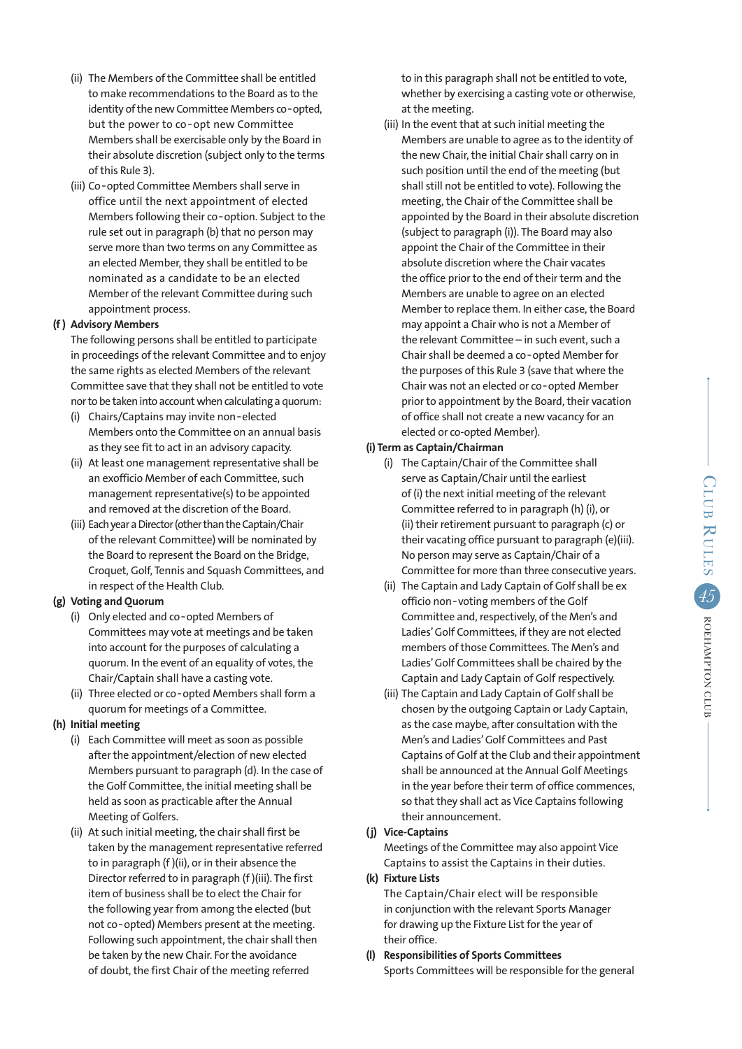- (ii) The Members of the Committee shall be entitled to make recommendations to the Board as to the identity of the new Committee Members co-opted, but the power to co-opt new Committee Members shall be exercisable only by the Board in their absolute discretion (subject only to the terms of this Rule 3).
- (iii) Co‑opted Committee Members shall serve in office until the next appointment of elected Members following their co-option. Subject to the rule set out in paragraph (b) that no person may serve more than two terms on any Committee as an elected Member, they shall be entitled to be nominated as a candidate to be an elected Member of the relevant Committee during such appointment process.

### **(f ) Advisory Members**

The following persons shall be entitled to participate in proceedings of the relevant Committee and to enjoy the same rights as elected Members of the relevant Committee save that they shall not be entitled to vote nor to be taken into account when calculating a quorum:

- (i) Chairs/Captains may invite non‑elected Members onto the Committee on an annual basis as they see fit to act in an advisory capacity.
- (ii) At least one management representative shall be an exofficio Member of each Committee, such management representative(s) to be appointed and removed at the discretion of the Board.
- (iii) Each year a Director (other than the Captain/Chair of the relevant Committee) will be nominated by the Board to represent the Board on the Bridge, Croquet, Golf, Tennis and Squash Committees, and in respect of the Health Club.

### **(g) Voting and Quorum**

- (i) Only elected and co‑opted Members of Committees may vote at meetings and be taken into account for the purposes of calculating a quorum. In the event of an equality of votes, the Chair/Captain shall have a casting vote.
- (ii) Three elected or co-opted Members shall form a quorum for meetings of a Committee.

### **(h) Initial meeting**

- (i) Each Committee will meet as soon as possible after the appointment/election of new elected Members pursuant to paragraph (d). In the case of the Golf Committee, the initial meeting shall be held as soon as practicable after the Annual Meeting of Golfers.
- (ii) At such initial meeting, the chair shall first be taken by the management representative referred to in paragraph (f )(ii), or in their absence the Director referred to in paragraph (f )(iii). The first item of business shall be to elect the Chair for the following year from among the elected (but not co-opted) Members present at the meeting. Following such appointment, the chair shall then be taken by the new Chair. For the avoidance of doubt, the first Chair of the meeting referred

 to in this paragraph shall not be entitled to vote, whether by exercising a casting vote or otherwise, at the meeting.

 (iii) In the event that at such initial meeting the Members are unable to agree as to the identity of the new Chair, the initial Chair shall carry on in such position until the end of the meeting (but shall still not be entitled to vote). Following the meeting, the Chair of the Committee shall be appointed by the Board in their absolute discretion (subject to paragraph (i)). The Board may also appoint the Chair of the Committee in their absolute discretion where the Chair vacates the office prior to the end of their term and the Members are unable to agree on an elected Member to replace them. In either case, the Board may appoint a Chair who is not a Member of the relevant Committee – in such event, such a Chair shall be deemed a co‑opted Member for the purposes of this Rule 3 (save that where the Chair was not an elected or co‑opted Member prior to appointment by the Board, their vacation of office shall not create a new vacancy for an elected or co-opted Member).

#### **(i) Term as Captain/Chairman**

- (i) The Captain/Chair of the Committee shall serve as Captain/Chair until the earliest of (i) the next initial meeting of the relevant Committee referred to in paragraph (h) (i), or (ii) their retirement pursuant to paragraph (c) or their vacating office pursuant to paragraph (e)(iii). No person may serve as Captain/Chair of a Committee for more than three consecutive years.
- (ii) The Captain and Lady Captain of Golf shall be ex officio non‑voting members of the Golf Committee and, respectively, of the Men's and Ladies' Golf Committees, if they are not elected members of those Committees. The Men's and Ladies' Golf Committees shall be chaired by the Captain and Lady Captain of Golf respectively.
- (iii) The Captain and Lady Captain of Golf shall be chosen by the outgoing Captain or Lady Captain, as the case maybe, after consultation with the Men's and Ladies' Golf Committees and Past Captains of Golf at the Club and their appointment shall be announced at the Annual Golf Meetings in the year before their term of office commences, so that they shall act as Vice Captains following their announcement.

#### **(j) Vice-Captains**

 Meetings of the Committee may also appoint Vice Captains to assist the Captains in their duties.

### **(k) Fixture Lists**

 The Captain/Chair elect will be responsible in conjunction with the relevant Sports Manager for drawing up the Fixture List for the year of their office.

**(l) Responsibilities of Sports Committees** Sports Committees will be responsible for the general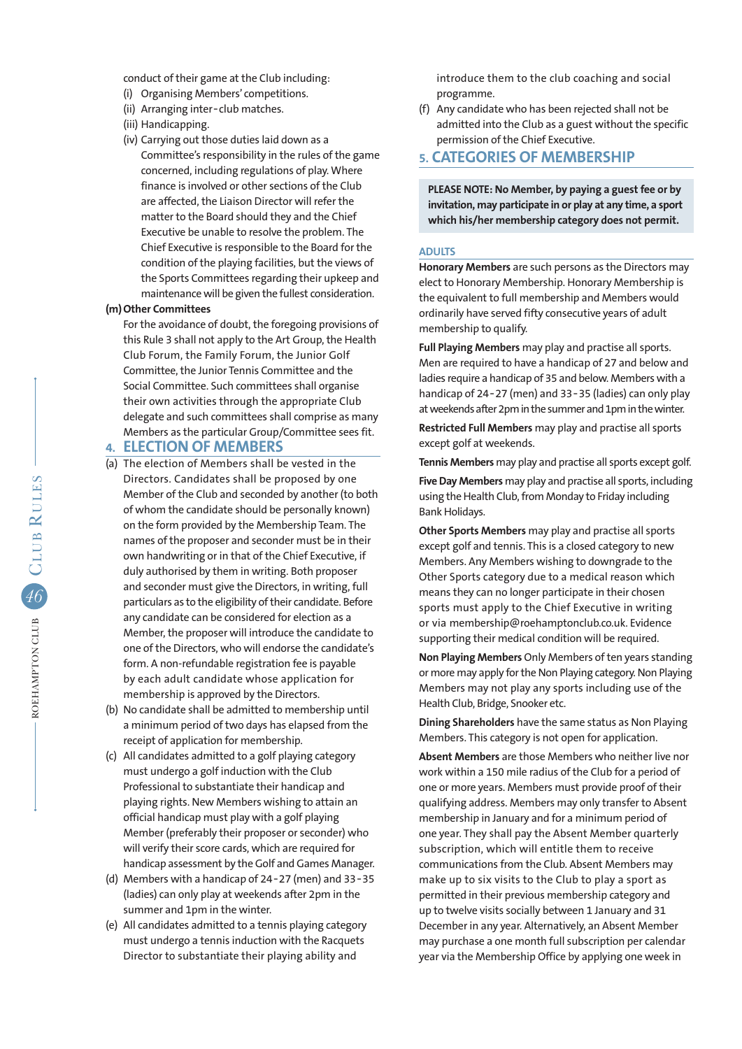conduct of their game at the Club including:

- (i) Organising Members' competitions.
- (ii) Arranging inter‑club matches.
- (iii) Handicapping.
- (iv) Carrying out those duties laid down as a Committee's responsibility in the rules of the game concerned, including regulations of play. Where finance is involved or other sections of the Club are affected, the Liaison Director will refer the matter to the Board should they and the Chief Executive be unable to resolve the problem. The Chief Executive is responsible to the Board for the condition of the playing facilities, but the views of the Sports Committees regarding their upkeep and maintenance will be given the fullest consideration.

### **(m) Other Committees**

 For the avoidance of doubt, the foregoing provisions of this Rule 3 shall not apply to the Art Group, the Health Club Forum, the Family Forum, the Junior Golf Committee, the Junior Tennis Committee and the Social Committee. Such committees shall organise their own activities through the appropriate Club delegate and such committees shall comprise as many Members as the particular Group/Committee sees fit.

# **4. ELECTION OF MEMBERS**

- (a) The election of Members shall be vested in the Directors. Candidates shall be proposed by one Member of the Club and seconded by another (to both of whom the candidate should be personally known) on the form provided by the Membership Team. The names of the proposer and seconder must be in their own handwriting or in that of the Chief Executive, if duly authorised by them in writing. Both proposer and seconder must give the Directors, in writing, full particulars as to the eligibility of their candidate. Before any candidate can be considered for election as a Member, the proposer will introduce the candidate to one of the Directors, who will endorse the candidate's form. A non-refundable registration fee is payable by each adult candidate whose application for membership is approved by the Directors.
- (b) No candidate shall be admitted to membership until a minimum period of two days has elapsed from the receipt of application for membership.
- (c) All candidates admitted to a golf playing category must undergo a golf induction with the Club Professional to substantiate their handicap and playing rights. New Members wishing to attain an official handicap must play with a golf playing Member (preferably their proposer or seconder) who will verify their score cards, which are required for handicap assessment by the Golf and Games Manager.
- (d) Members with a handicap of 24‑27 (men) and 33‑35 (ladies) can only play at weekends after 2pm in the summer and 1pm in the winter.
- (e) All candidates admitted to a tennis playing category must undergo a tennis induction with the Racquets Director to substantiate their playing ability and

 introduce them to the club coaching and social programme.

(f) Any candidate who has been rejected shall not be admitted into the Club as a guest without the specific permission of the Chief Executive.

# **5. CATEGORIES OF MEMBERSHIP**

 **PLEASE NOTE: No Member, by paying a guest fee or by invitation, may participate in or play at any time, a sport which his/her membership category does not permit.**

### **ADULTS**

**Honorary Members** are such persons as the Directors may elect to Honorary Membership. Honorary Membership is the equivalent to full membership and Members would ordinarily have served fifty consecutive years of adult membership to qualify.

**Full Playing Members** may play and practise all sports. Men are required to have a handicap of 27 and below and ladies require a handicap of 35 and below. Members with a handicap of 24-27 (men) and 33-35 (ladies) can only play at weekends after 2pm in the summer and 1pm in the winter.

**Restricted Full Members** may play and practise all sports except golf at weekends.

**Tennis Members** may play and practise all sports except golf.

**Five Day Members** may play and practise all sports, including using the Health Club, from Monday to Friday including Bank Holidays.

**Other Sports Members** may play and practise all sports except golf and tennis. This is a closed category to new Members. Any Members wishing to downgrade to the Other Sports category due to a medical reason which means they can no longer participate in their chosen sports must apply to the Chief Executive in writing or via membership@roehamptonclub.co.uk. Evidence supporting their medical condition will be required.

**Non Playing Members** Only Members of ten years standing or more may apply for the Non Playing category. Non Playing Members may not play any sports including use of the Health Club, Bridge, Snooker etc.

**Dining Shareholders** have the same status as Non Playing Members. This category is not open for application.

**Absent Members** are those Members who neither live nor work within a 150 mile radius of the Club for a period of one or more years. Members must provide proof of their qualifying address. Members may only transfer to Absent membership in January and for a minimum period of one year. They shall pay the Absent Member quarterly subscription, which will entitle them to receive communications from the Club. Absent Members may make up to six visits to the Club to play a sport as permitted in their previous membership category and up to twelve visits socially between 1 January and 31 December in any year. Alternatively, an Absent Member may purchase a one month full subscription per calendar year via the Membership Office by applying one week in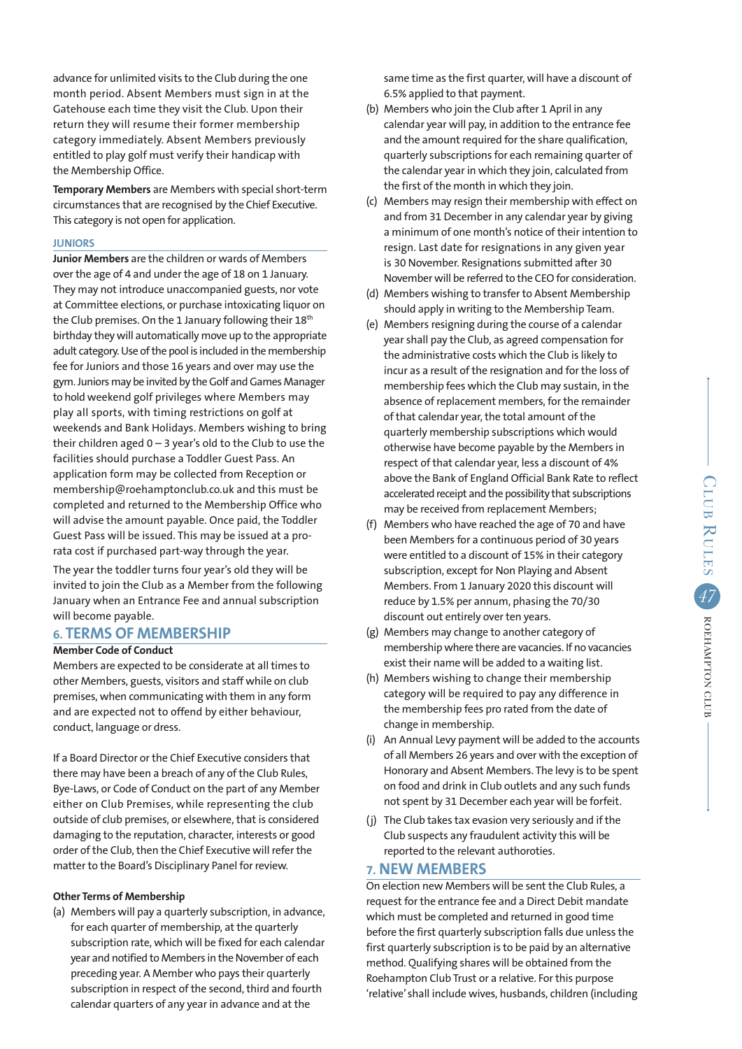advance for unlimited visits to the Club during the one month period. Absent Members must sign in at the Gatehouse each time they visit the Club. Upon their return they will resume their former membership category immediately. Absent Members previously entitled to play golf must verify their handicap with the Membership Office.

**Temporary Members** are Members with special short-term circumstances that are recognised by the Chief Executive. This category is not open for application.

### **JUNIORS**

**Junior Members** are the children or wards of Members over the age of 4 and under the age of 18 on 1 January. They may not introduce unaccompanied guests, nor vote at Committee elections, or purchase intoxicating liquor on the Club premises. On the 1 January following their 18th birthday they will automatically move up to the appropriate adult category. Use of the pool is included in the membership fee for Juniors and those 16 years and over may use the gym. Juniors may be invited by the Golf and Games Manager to hold weekend golf privileges where Members may play all sports, with timing restrictions on golf at weekends and Bank Holidays. Members wishing to bring their children aged  $0 - 3$  year's old to the Club to use the facilities should purchase a Toddler Guest Pass. An application form may be collected from Reception or membership@roehamptonclub.co.uk and this must be completed and returned to the Membership Office who will advise the amount payable. Once paid, the Toddler Guest Pass will be issued. This may be issued at a prorata cost if purchased part-way through the year.

The year the toddler turns four year's old they will be invited to join the Club as a Member from the following January when an Entrance Fee and annual subscription will become payable.

### **6. TERMS OF MEMBERSHIP**

#### **Member Code of Conduct**

Members are expected to be considerate at all times to other Members, guests, visitors and staff while on club premises, when communicating with them in any form and are expected not to offend by either behaviour, conduct, language or dress.

If a Board Director or the Chief Executive considers that there may have been a breach of any of the Club Rules, Bye-Laws, or Code of Conduct on the part of any Member either on Club Premises, while representing the club outside of club premises, or elsewhere, that is considered damaging to the reputation, character, interests or good order of the Club, then the Chief Executive will refer the matter to the Board's Disciplinary Panel for review.

#### **Other Terms of Membership**

(a) Members will pay a quarterly subscription, in advance, for each quarter of membership, at the quarterly subscription rate, which will be fixed for each calendar year and notified to Members in the November of each preceding year. A Member who pays their quarterly subscription in respect of the second, third and fourth calendar quarters of any year in advance and at the

 same time as the first quarter, will have a discount of 6.5% applied to that payment.

- (b) Members who join the Club after 1 April in any calendar year will pay, in addition to the entrance fee and the amount required for the share qualification, quarterly subscriptions for each remaining quarter of the calendar year in which they join, calculated from the first of the month in which they join.
- (c) Members may resign their membership with effect on and from 31 December in any calendar year by giving a minimum of one month's notice of their intention to resign. Last date for resignations in any given year is 30 November. Resignations submitted after 30 November will be referred to the CEO for consideration.
- (d) Members wishing to transfer to Absent Membership should apply in writing to the Membership Team.
- (e) Members resigning during the course of a calendar year shall pay the Club, as agreed compensation for the administrative costs which the Club is likely to incur as a result of the resignation and for the loss of membership fees which the Club may sustain, in the absence of replacement members, for the remainder of that calendar year, the total amount of the quarterly membership subscriptions which would otherwise have become payable by the Members in respect of that calendar year, less a discount of 4% above the Bank of England Official Bank Rate to reflect accelerated receipt and the possibility that subscriptions may be received from replacement Members;
- (f) Members who have reached the age of 70 and have been Members for a continuous period of 30 years were entitled to a discount of 15% in their category subscription, except for Non Playing and Absent Members. From 1 January 2020 this discount will reduce by 1.5% per annum, phasing the 70/30 discount out entirely over ten years.
- (g) Members may change to another category of membership where there are vacancies. If no vacancies exist their name will be added to a waiting list.
- (h) Members wishing to change their membership category will be required to pay any difference in the membership fees pro rated from the date of change in membership.
- (i) An Annual Levy payment will be added to the accounts of all Members 26 years and over with the exception of Honorary and Absent Members. The levy is to be spent on food and drink in Club outlets and any such funds not spent by 31 December each year will be forfeit.
- (j) The Club takes tax evasion very seriously and if the Club suspects any fraudulent activity this will be reported to the relevant authoroties.

# **7. NEW MEMBERS**

On election new Members will be sent the Club Rules, a request for the entrance fee and a Direct Debit mandate which must be completed and returned in good time before the first quarterly subscription falls due unless the first quarterly subscription is to be paid by an alternative method. Qualifying shares will be obtained from the Roehampton Club Trust or a relative. For this purpose 'relative' shall include wives, husbands, children (including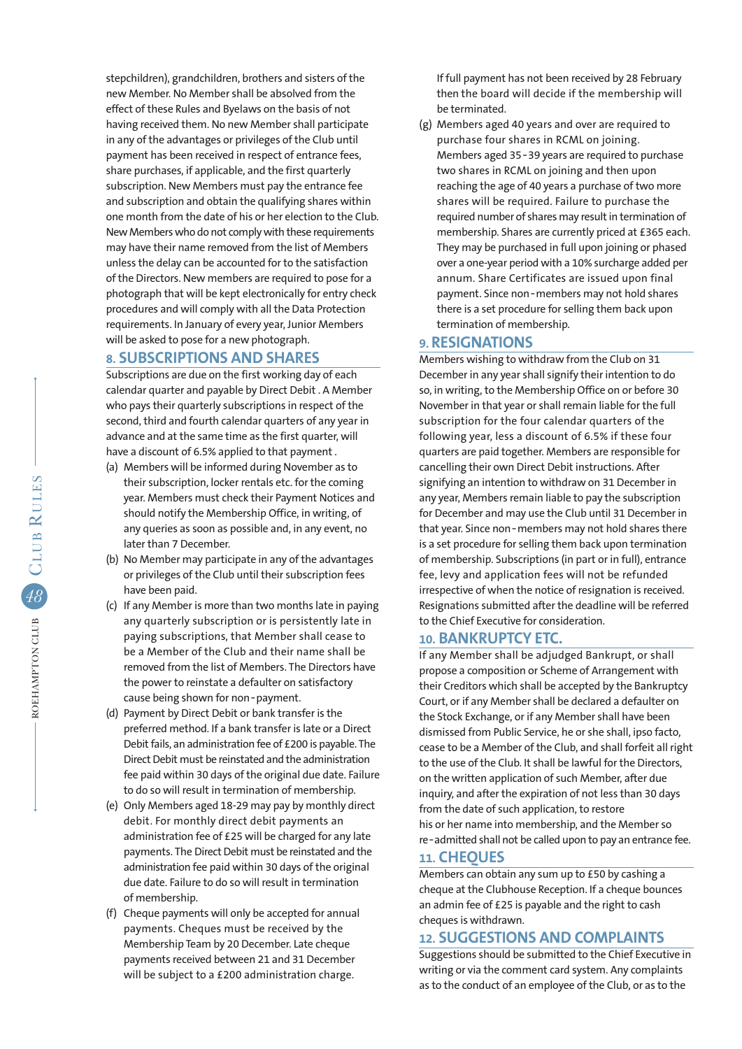stepchildren), grandchildren, brothers and sisters of the new Member. No Member shall be absolved from the effect of these Rules and Byelaws on the basis of not having received them. No new Member shall participate in any of the advantages or privileges of the Club until payment has been received in respect of entrance fees, share purchases, if applicable, and the first quarterly subscription. New Members must pay the entrance fee and subscription and obtain the qualifying shares within one month from the date of his or her election to the Club. New Members who do not comply with these requirements may have their name removed from the list of Members unless the delay can be accounted for to the satisfaction of the Directors. New members are required to pose for a photograph that will be kept electronically for entry check procedures and will comply with all the Data Protection requirements. In January of every year, Junior Members will be asked to pose for a new photograph.

# **8. SUBSCRIPTIONS AND SHARES**

Subscriptions are due on the first working day of each calendar quarter and payable by Direct Debit . A Member who pays their quarterly subscriptions in respect of the second, third and fourth calendar quarters of any year in advance and at the same time as the first quarter, will have a discount of 6.5% applied to that payment .

- (a) Members will be informed during November as to their subscription, locker rentals etc. for the coming year. Members must check their Payment Notices and should notify the Membership Office, in writing, of any queries as soon as possible and, in any event, no later than 7 December.
- (b) No Member may participate in any of the advantages or privileges of the Club until their subscription fees have been paid.
- (c) If any Member is more than two months late in paying any quarterly subscription or is persistently late in paying subscriptions, that Member shall cease to be a Member of the Club and their name shall be removed from the list of Members. The Directors have the power to reinstate a defaulter on satisfactory cause being shown for non-payment.
- (d) Payment by Direct Debit or bank transfer is the preferred method. If a bank transfer is late or a Direct Debit fails, an administration fee of £200 is payable. The Direct Debit must be reinstated and the administration fee paid within 30 days of the original due date. Failure to do so will result in termination of membership.
- (e) Only Members aged 18-29 may pay by monthly direct debit. For monthly direct debit payments an administration fee of £25 will be charged for any late payments. The Direct Debit must be reinstated and the administration fee paid within 30 days of the original due date. Failure to do so will result in termination of membership.
- (f) Cheque payments will only be accepted for annual payments. Cheques must be received by the Membership Team by 20 December. Late cheque payments received between 21 and 31 December will be subject to a £200 administration charge.

 If full payment has not been received by 28 February then the board will decide if the membership will be terminated.

(g) Members aged 40 years and over are required to purchase four shares in RCML on joining. Members aged 35‑39 years are required to purchase two shares in RCML on joining and then upon reaching the age of 40 years a purchase of two more shares will be required. Failure to purchase the required number of shares may result in termination of membership. Shares are currently priced at £365 each. They may be purchased in full upon joining or phased over a one-year period with a 10% surcharge added per annum. Share Certificates are issued upon final payment. Since non‑members may not hold shares there is a set procedure for selling them back upon termination of membership.

### **9. RESIGNATIONS**

Members wishing to withdraw from the Club on 31 December in any year shall signify their intention to do so, in writing, to the Membership Office on or before 30 November in that year or shall remain liable for the full subscription for the four calendar quarters of the following year, less a discount of 6.5% if these four quarters are paid together. Members are responsible for cancelling their own Direct Debit instructions. After signifying an intention to withdraw on 31 December in any year, Members remain liable to pay the subscription for December and may use the Club until 31 December in that year. Since non-members may not hold shares there is a set procedure for selling them back upon termination of membership. Subscriptions (in part or in full), entrance fee, levy and application fees will not be refunded irrespective of when the notice of resignation is received. Resignations submitted after the deadline will be referred to the Chief Executive for consideration.

# **10. BANKRUPTCY ETC.**

If any Member shall be adjudged Bankrupt, or shall propose a composition or Scheme of Arrangement with their Creditors which shall be accepted by the Bankruptcy Court, or if any Member shall be declared a defaulter on the Stock Exchange, or if any Member shall have been dismissed from Public Service, he or she shall, ipso facto, cease to be a Member of the Club, and shall forfeit all right to the use of the Club. It shall be lawful for the Directors, on the written application of such Member, after due inquiry, and after the expiration of not less than 30 days from the date of such application, to restore his or her name into membership, and the Member so re‑admitted shall not be called upon to pay an entrance fee.

### **11. CHEQUES**

Members can obtain any sum up to £50 by cashing a cheque at the Clubhouse Reception. If a cheque bounces an admin fee of £25 is payable and the right to cash cheques is withdrawn.

# **12. SUGGESTIONS AND COMPLAINTS**

Suggestions should be submitted to the Chief Executive in writing or via the comment card system. Any complaints as to the conduct of an employee of the Club, or as to the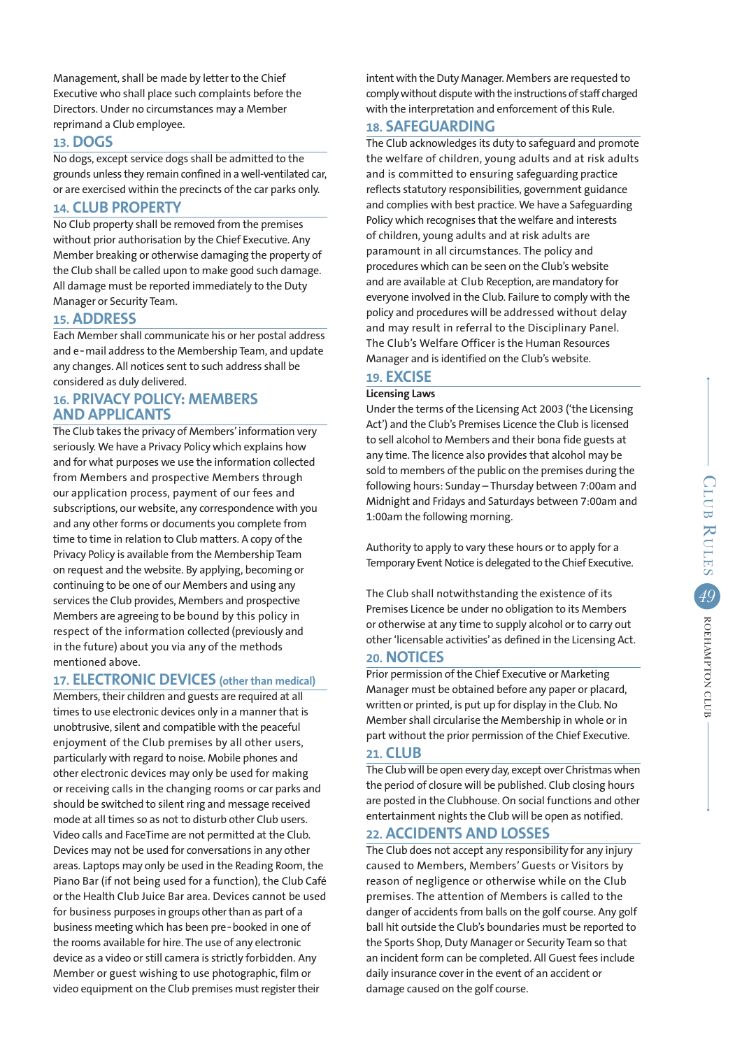Management, shall be made by letter to the Chief Executive who shall place such complaints before the Directors. Under no circumstances may a Member reprimand a Club employee.

# **13. DOGS**

No dogs, except service dogs shall be admitted to the grounds unless they remain confined in a well-ventilated car, or are exercised within the precincts of the car parks only.

# **14. CLUB PROPERTY**

No Club property shall be removed from the premises without prior authorisation by the Chief Executive. Any Member breaking or otherwise damaging the property of the Club shall be called upon to make good such damage. All damage must be reported immediately to the Duty Manager or Security Team.

# **15. ADDRESS**

Each Member shall communicate his or her postal address and e-mail address to the Membership Team, and update any changes. All notices sent to such address shall be considered as duly delivered.

# **16. PRIVACY POLICY: MEMBERS AND APPLICANTS**

The Club takes the privacy of Members' information very seriously. We have a Privacy Policy which explains how and for what purposes we use the information collected from Members and prospective Members through our application process, payment of our fees and subscriptions, our website, any correspondence with you and any other forms or documents you complete from time to time in relation to Club matters. A copy of the Privacy Policy is available from the Membership Team on request and the website. By applying, becoming or continuing to be one of our Members and using any services the Club provides, Members and prospective Members are agreeing to be bound by this policy in respect of the information collected (previously and in the future) about you via any of the methods mentioned above.

# **17. ELECTRONIC DEVICES (other than medical)**

Members, their children and guests are required at all times to use electronic devices only in a manner that is unobtrusive, silent and compatible with the peaceful enjoyment of the Club premises by all other users, particularly with regard to noise. Mobile phones and other electronic devices may only be used for making or receiving calls in the changing rooms or car parks and should be switched to silent ring and message received mode at all times so as not to disturb other Club users. Video calls and FaceTime are not permitted at the Club. Devices may not be used for conversations in any other areas. Laptops may only be used in the Reading Room, the Piano Bar (if not being used for a function), the Club Café or the Health Club Juice Bar area. Devices cannot be used for business purposes in groups other than as part of a business meeting which has been pre‑booked in one of the rooms available for hire. The use of any electronic device as a video or still camera is strictly forbidden. Any Member or guest wishing to use photographic, film or video equipment on the Club premises must register their

intent with the Duty Manager. Members are requested to comply without dispute with the instructions of staff charged with the interpretation and enforcement of this Rule.

# **18. SAFEGUARDING**

The Club acknowledges its duty to safeguard and promote the welfare of children, young adults and at risk adults and is committed to ensuring safeguarding practice reflects statutory responsibilities, government guidance and complies with best practice. We have a Safeguarding Policy which recognises that the welfare and interests of children, young adults and at risk adults are paramount in all circumstances. The policy and procedures which can be seen on the Club's website and are available at Club Reception, are mandatory for everyone involved in the Club. Failure to comply with the policy and procedures will be addressed without delay and may result in referral to the Disciplinary Panel. The Club's Welfare Officer is the Human Resources Manager and is identified on the Club's website.

# **19. EXCISE**

# **Licensing Laws**

Under the terms of the Licensing Act 2003 ('the Licensing Act') and the Club's Premises Licence the Club is licensed to sell alcohol to Members and their bona fide guests at any time. The licence also provides that alcohol may be sold to members of the public on the premises during the following hours: Sunday – Thursday between 7:00am and Midnight and Fridays and Saturdays between 7:00am and 1:00am the following morning.

Authority to apply to vary these hours or to apply for a Temporary Event Notice is delegated to the Chief Executive.

The Club shall notwithstanding the existence of its Premises Licence be under no obligation to its Members or otherwise at any time to supply alcohol or to carry out other 'licensable activities' as defined in the Licensing Act.

### **20. NOTICES**

Prior permission of the Chief Executive or Marketing Manager must be obtained before any paper or placard, written or printed, is put up for display in the Club. No Member shall circularise the Membership in whole or in part without the prior permission of the Chief Executive.

#### **21. CLUB**

The Club will be open every day, except over Christmas when the period of closure will be published. Club closing hours are posted in the Clubhouse. On social functions and other entertainment nights the Club will be open as notified.

# **22. ACCIDENTS AND LOSSES**

The Club does not accept any responsibility for any injury caused to Members, Members' Guests or Visitors by reason of negligence or otherwise while on the Club premises. The attention of Members is called to the danger of accidents from balls on the golf course. Any golf ball hit outside the Club's boundaries must be reported to the Sports Shop, Duty Manager or Security Team so that an incident form can be completed. All Guest fees include daily insurance cover in the event of an accident or damage caused on the golf course.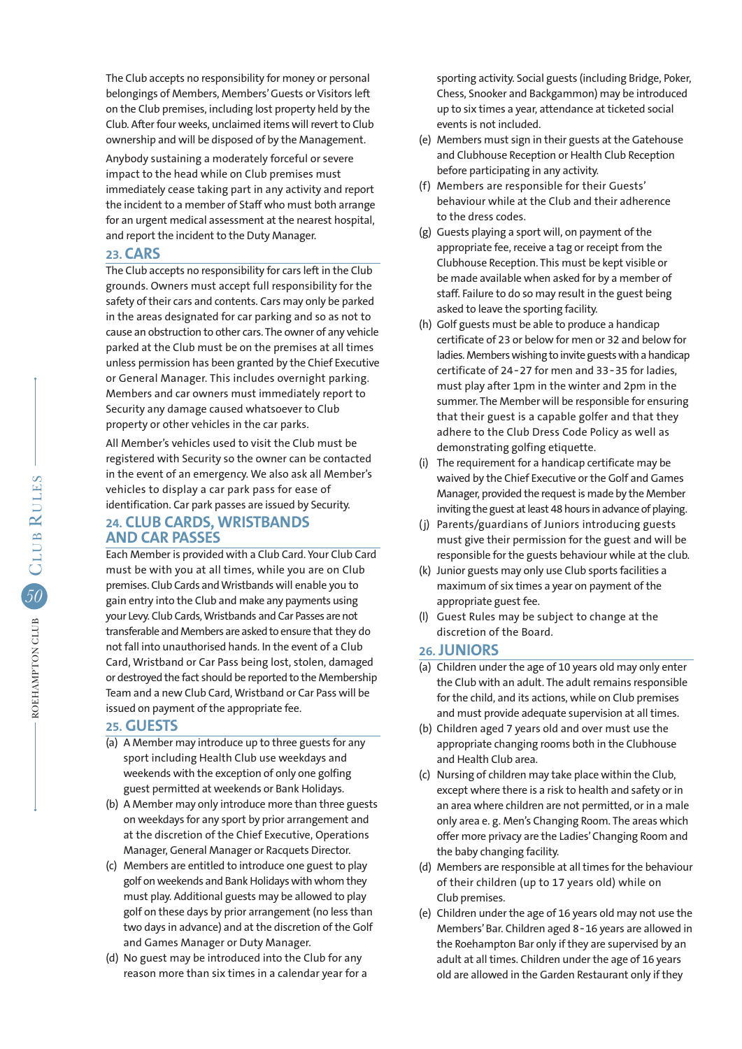The Club accepts no responsibility for money or personal belongings of Members, Members' Guests or Visitors left on the Club premises, including lost property held by the Club. After four weeks, unclaimed items will revert to Club ownership and will be disposed of by the Management.

Anybody sustaining a moderately forceful or severe impact to the head while on Club premises must immediately cease taking part in any activity and report the incident to a member of Staff who must both arrange for an urgent medical assessment at the nearest hospital, and report the incident to the Duty Manager.

# **23. CARS**

The Club accepts no responsibility for cars left in the Club grounds. Owners must accept full responsibility for the safety of their cars and contents. Cars may only be parked in the areas designated for car parking and so as not to cause an obstruction to other cars. The owner of any vehicle parked at the Club must be on the premises at all times unless permission has been granted by the Chief Executive or General Manager. This includes overnight parking. Members and car owners must immediately report to Security any damage caused whatsoever to Club property or other vehicles in the car parks.

All Member's vehicles used to visit the Club must be registered with Security so the owner can be contacted in the event of an emergency. We also ask all Member's vehicles to display a car park pass for ease of identification. Car park passes are issued by Security.

# **24. CLUB CARDS, WRISTBANDS AND CAR PASSES**

Each Member is provided with a Club Card. Your Club Card must be with you at all times, while you are on Club premises. Club Cards and Wristbands will enable you to gain entry into the Club and make any payments using your Levy. Club Cards, Wristbands and Car Passes are not transferable and Members are asked to ensure that they do not fall into unauthorised hands. In the event of a Club Card, Wristband or Car Pass being lost, stolen, damaged or destroyed the fact should be reported to the Membership Team and a new Club Card, Wristband or Car Pass will be issued on payment of the appropriate fee.

### **25. GUESTS**

- (a) A Member may introduce up to three guests for any sport including Health Club use weekdays and weekends with the exception of only one golfing guest permitted at weekends or Bank Holidays.
- (b) A Member may only introduce more than three guests on weekdays for any sport by prior arrangement and at the discretion of the Chief Executive, Operations Manager, General Manager or Racquets Director.
- (c) Members are entitled to introduce one guest to play golf on weekends and Bank Holidays with whom they must play. Additional guests may be allowed to play golf on these days by prior arrangement (no less than two days in advance) and at the discretion of the Golf and Games Manager or Duty Manager.
- (d) No guest may be introduced into the Club for any reason more than six times in a calendar year for a

 sporting activity. Social guests (including Bridge, Poker, Chess, Snooker and Backgammon) may be introduced up to six times a year, attendance at ticketed social events is not included.

- (e) Members must sign in their guests at the Gatehouse and Clubhouse Reception or Health Club Reception before participating in any activity.
- (f) Members are responsible for their Guests' behaviour while at the Club and their adherence to the dress codes.
- (g) Guests playing a sport will, on payment of the appropriate fee, receive a tag or receipt from the Clubhouse Reception. This must be kept visible or be made available when asked for by a member of staff. Failure to do so may result in the guest being asked to leave the sporting facility.
- (h) Golf guests must be able to produce a handicap certificate of 23 or below for men or 32 and below for ladies. Members wishing to invite guests with a handicap certificate of 24‑27 for men and 33‑35 for ladies, must play after 1pm in the winter and 2pm in the summer. The Member will be responsible for ensuring that their guest is a capable golfer and that they adhere to the Club Dress Code Policy as well as demonstrating golfing etiquette.
- (i) The requirement for a handicap certificate may be waived by the Chief Executive or the Golf and Games Manager, provided the request is made by the Member inviting the guest at least 48 hours in advance of playing.
- (j) Parents/guardians of Juniors introducing guests must give their permission for the guest and will be responsible for the guests behaviour while at the club.
- (k) Junior guests may only use Club sports facilities a maximum of six times a year on payment of the appropriate guest fee.
- (l) Guest Rules may be subject to change at the discretion of the Board.

### **26. JUNIORS**

- (a) Children under the age of 10 years old may only enter the Club with an adult. The adult remains responsible for the child, and its actions, while on Club premises and must provide adequate supervision at all times.
- (b) Children aged 7 years old and over must use the appropriate changing rooms both in the Clubhouse and Health Club area.
- (c) Nursing of children may take place within the Club, except where there is a risk to health and safety or in an area where children are not permitted, or in a male only area e. g. Men's Changing Room. The areas which offer more privacy are the Ladies' Changing Room and the baby changing facility.
- (d) Members are responsible at all times for the behaviour of their children (up to 17 years old) while on Club premises.
- (e) Children under the age of 16 years old may not use the Members' Bar. Children aged 8‑16 years are allowed in the Roehampton Bar only if they are supervised by an adult at all times. Children under the age of 16 years old are allowed in the Garden Restaurant only if they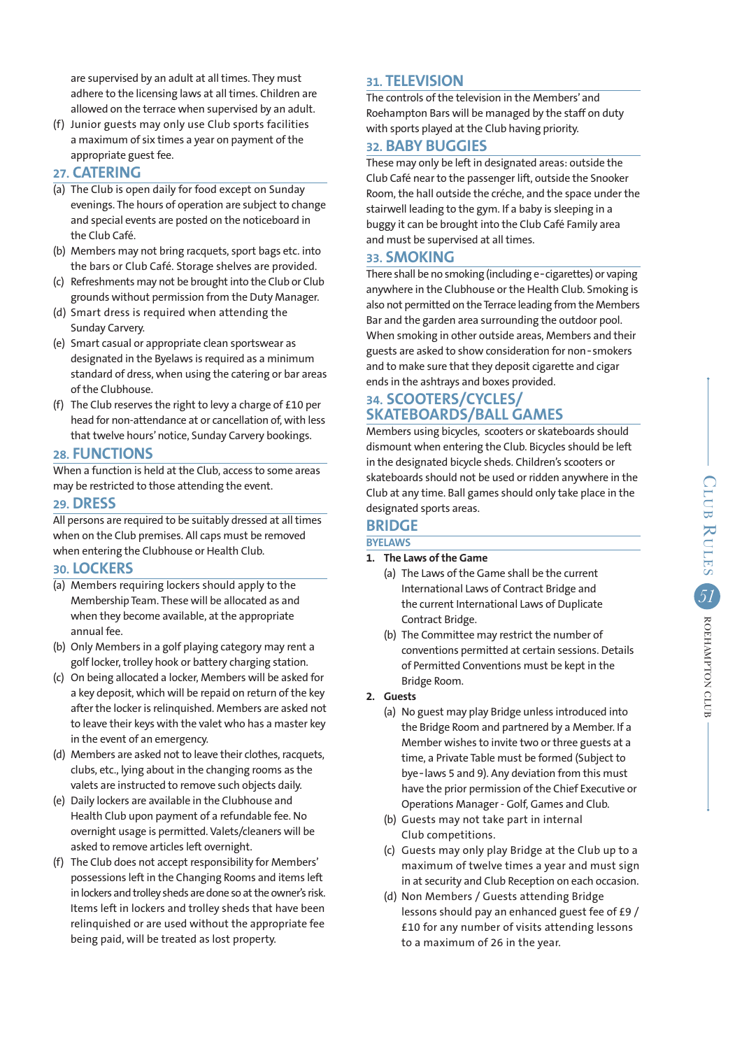are supervised by an adult at all times. They must adhere to the licensing laws at all times. Children are allowed on the terrace when supervised by an adult.

(f) Junior guests may only use Club sports facilities a maximum of six times a year on payment of the appropriate guest fee.

### **27. CATERING**

- (a) The Club is open daily for food except on Sunday evenings. The hours of operation are subject to change and special events are posted on the noticeboard in the Club Café.
- (b) Members may not bring racquets, sport bags etc. into the bars or Club Café. Storage shelves are provided.
- (c) Refreshments may not be brought into the Club or Club grounds without permission from the Duty Manager.
- (d) Smart dress is required when attending the Sunday Carvery.
- (e) Smart casual or appropriate clean sportswear as designated in the Byelaws is required as a minimum standard of dress, when using the catering or bar areas of the Clubhouse.
- (f) The Club reserves the right to levy a charge of £10 per head for non-attendance at or cancellation of, with less that twelve hours' notice, Sunday Carvery bookings.

### **28. FUNCTIONS**

When a function is held at the Club, access to some areas may be restricted to those attending the event.

### **29. DRESS**

All persons are required to be suitably dressed at all times when on the Club premises. All caps must be removed when entering the Clubhouse or Health Club.

# **30. LOCKERS**

- (a) Members requiring lockers should apply to the Membership Team. These will be allocated as and when they become available, at the appropriate annual fee.
- (b) Only Members in a golf playing category may rent a golf locker, trolley hook or battery charging station.
- (c) On being allocated a locker, Members will be asked for a key deposit, which will be repaid on return of the key after the locker is relinquished. Members are asked not to leave their keys with the valet who has a master key in the event of an emergency.
- (d) Members are asked not to leave their clothes, racquets, clubs, etc., lying about in the changing rooms as the valets are instructed to remove such objects daily.
- (e) Daily lockers are available in the Clubhouse and Health Club upon payment of a refundable fee. No overnight usage is permitted. Valets/cleaners will be asked to remove articles left overnight.
- (f) The Club does not accept responsibility for Members' possessions left in the Changing Rooms and items left in lockers and trolley sheds are done so at the owner's risk. Items left in lockers and trolley sheds that have been relinquished or are used without the appropriate fee being paid, will be treated as lost property.

# **31. TELEVISION**

The controls of the television in the Members' and Roehampton Bars will be managed by the staff on duty with sports played at the Club having priority.

# **32. BABY BUGGIES**

These may only be left in designated areas: outside the Club Café near to the passenger lift, outside the Snooker Room, the hall outside the créche, and the space under the stairwell leading to the gym. If a baby is sleeping in a buggy it can be brought into the Club Café Family area and must be supervised at all times.

### **33. SMOKING**

There shall be no smoking (including e‑cigarettes) or vaping anywhere in the Clubhouse or the Health Club. Smoking is also not permitted on the Terrace leading from the Members Bar and the garden area surrounding the outdoor pool. When smoking in other outside areas, Members and their guests are asked to show consideration for non‑smokers and to make sure that they deposit cigarette and cigar ends in the ashtrays and boxes provided.

# **34. SCOOTERS/CYCLES/ SKATEBOARDS/BALL GAMES**

Members using bicycles, scooters or skateboards should dismount when entering the Club. Bicycles should be left in the designated bicycle sheds. Children's scooters or skateboards should not be used or ridden anywhere in the Club at any time. Ball games should only take place in the designated sports areas.

# **BRIDGE**

# **BYELAWS**

- **1. The Laws of the Game**
	- (a) The Laws of the Game shall be the current International Laws of Contract Bridge and the current International Laws of Duplicate Contract Bridge.
	- (b) The Committee may restrict the number of conventions permitted at certain sessions. Details of Permitted Conventions must be kept in the Bridge Room.

### **2. Guests**

- (a) No guest may play Bridge unless introduced into the Bridge Room and partnered by a Member. If a Member wishes to invite two or three guests at a time, a Private Table must be formed (Subject to bye-laws 5 and 9). Any deviation from this must have the prior permission of the Chief Executive or Operations Manager - Golf, Games and Club.
- (b) Guests may not take part in internal Club competitions.
- (c) Guests may only play Bridge at the Club up to a maximum of twelve times a year and must sign in at security and Club Reception on each occasion.
- (d) Non Members / Guests attending Bridge lessons should pay an enhanced guest fee of £9 / £10 for any number of visits attending lessons to a maximum of 26 in the year.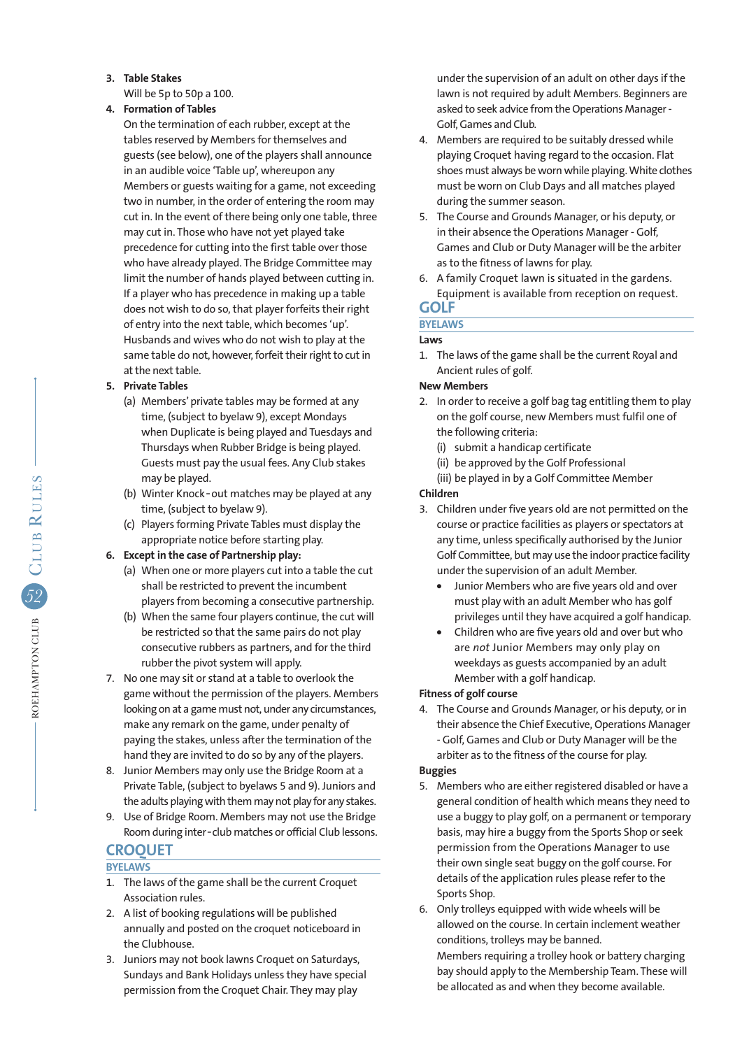**3. Table Stakes**

Will be 5p to 50p a 100.

### **4. Formation of Tables**

 On the termination of each rubber, except at the tables reserved by Members for themselves and guests (see below), one of the players shall announce in an audible voice 'Table up', whereupon any Members or guests waiting for a game, not exceeding two in number, in the order of entering the room may cut in. In the event of there being only one table, three may cut in. Those who have not yet played take precedence for cutting into the first table over those who have already played. The Bridge Committee may limit the number of hands played between cutting in. If a player who has precedence in making up a table does not wish to do so, that player forfeits their right of entry into the next table, which becomes 'up'. Husbands and wives who do not wish to play at the same table do not, however, forfeit their right to cut in at the next table.

# **5. Private Tables**

- (a) Members' private tables may be formed at any time, (subject to byelaw 9), except Mondays when Duplicate is being played and Tuesdays and Thursdays when Rubber Bridge is being played. Guests must pay the usual fees. Any Club stakes may be played.
- (b) Winter Knock-out matches may be played at any time, (subject to byelaw 9).
- (c) Players forming Private Tables must display the appropriate notice before starting play.

# **6. Except in the case of Partnership play:**

- (a) When one or more players cut into a table the cut shall be restricted to prevent the incumbent players from becoming a consecutive partnership.
- (b) When the same four players continue, the cut will be restricted so that the same pairs do not play consecutive rubbers as partners, and for the third rubber the pivot system will apply.
- 7. No one may sit or stand at a table to overlook the game without the permission of the players. Members looking on at a game must not, under any circumstances, make any remark on the game, under penalty of paying the stakes, unless after the termination of the hand they are invited to do so by any of the players.
- 8. Junior Members may only use the Bridge Room at a Private Table, (subject to byelaws 5 and 9). Juniors and the adults playing with them may not play for any stakes.
- 9. Use of Bridge Room. Members may not use the Bridge Room during inter-club matches or official Club lessons.

# **CROQUET**

# **BYELAWS**

- 1. The laws of the game shall be the current Croquet Association rules.
- 2. A list of booking regulations will be published annually and posted on the croquet noticeboard in the Clubhouse.
- 3. Juniors may not book lawns Croquet on Saturdays, Sundays and Bank Holidays unless they have special permission from the Croquet Chair. They may play

 under the supervision of an adult on other days if the lawn is not required by adult Members. Beginners are asked to seek advice from the Operations Manager - Golf, Games and Club.

- 4. Members are required to be suitably dressed while playing Croquet having regard to the occasion. Flat shoes must always be worn while playing. White clothes must be worn on Club Days and all matches played during the summer season.
- 5. The Course and Grounds Manager, or his deputy, or in their absence the Operations Manager - Golf, Games and Club or Duty Manager will be the arbiter as to the fitness of lawns for play.
- 6. A family Croquet lawn is situated in the gardens. Equipment is available from reception on request.

### **GOLF BYELAWS**

# **Laws**

1. The laws of the game shall be the current Royal and Ancient rules of golf.

# **New Members**

- 2. In order to receive a golf bag tag entitling them to play on the golf course, new Members must fulfil one of the following criteria:
	- (i) submit a handicap certificate
	- (ii) be approved by the Golf Professional
	- (iii) be played in by a Golf Committee Member

# **Children**

- 3. Children under five years old are not permitted on the course or practice facilities as players or spectators at any time, unless specifically authorised by the Junior Golf Committee, but may use the indoor practice facility under the supervision of an adult Member.
	- **•** Junior Members who are five years old and over must play with an adult Member who has golf privileges until they have acquired a golf handicap.
	- **•** Children who are five years old and over but who are *not* Junior Members may only play on weekdays as guests accompanied by an adult Member with a golf handicap.

# **Fitness of golf course**

4. The Course and Grounds Manager, or his deputy, or in their absence the Chief Executive, Operations Manager - Golf, Games and Club or Duty Manager will be the arbiter as to the fitness of the course for play.

# **Buggies**

- 5. Members who are either registered disabled or have a general condition of health which means they need to use a buggy to play golf, on a permanent or temporary basis, may hire a buggy from the Sports Shop or seek permission from the Operations Manager to use their own single seat buggy on the golf course. For details of the application rules please refer to the Sports Shop.
- 6. Only trolleys equipped with wide wheels will be allowed on the course. In certain inclement weather conditions, trolleys may be banned. Members requiring a trolley hook or battery charging bay should apply to the Membership Team. These will be allocated as and when they become available.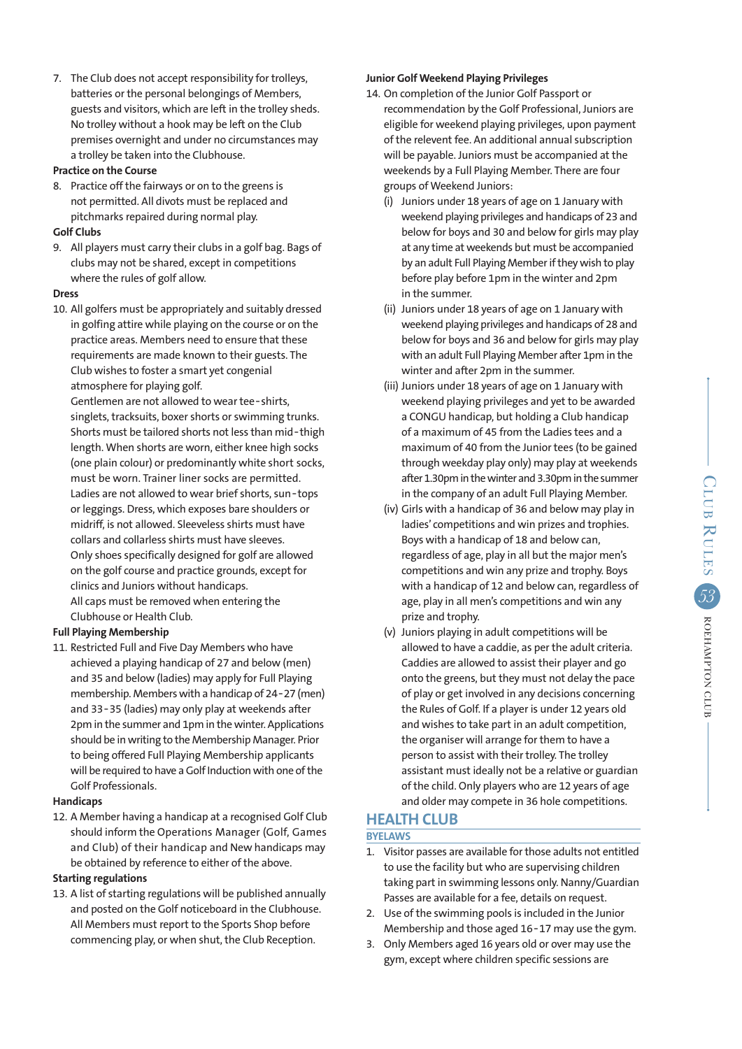7. The Club does not accept responsibility for trolleys, batteries or the personal belongings of Members, guests and visitors, which are left in the trolley sheds. No trolley without a hook may be left on the Club premises overnight and under no circumstances may a trolley be taken into the Clubhouse.

#### **Practice on the Course**

8. Practice off the fairways or on to the greens is not permitted. All divots must be replaced and pitchmarks repaired during normal play.

### **Golf Clubs**

9. All players must carry their clubs in a golf bag. Bags of clubs may not be shared, except in competitions where the rules of golf allow.

### **Dress**

10. All golfers must be appropriately and suitably dressed in golfing attire while playing on the course or on the practice areas. Members need to ensure that these requirements are made known to their guests. The Club wishes to foster a smart yet congenial atmosphere for playing golf.

Gentlemen are not allowed to wear tee-shirts, singlets, tracksuits, boxer shorts or swimming trunks. Shorts must be tailored shorts not less than mid-thigh length. When shorts are worn, either knee high socks (one plain colour) or predominantly white short socks, must be worn. Trainer liner socks are permitted. Ladies are not allowed to wear brief shorts, sun-tops or leggings. Dress, which exposes bare shoulders or midriff, is not allowed. Sleeveless shirts must have collars and collarless shirts must have sleeves. Only shoes specifically designed for golf are allowed on the golf course and practice grounds, except for clinics and Juniors without handicaps. All caps must be removed when entering the Clubhouse or Health Club.

### **Full Playing Membership**

11. Restricted Full and Five Day Members who have achieved a playing handicap of 27 and below (men) and 35 and below (ladies) may apply for Full Playing membership. Members with a handicap of 24‑27 (men) and 33‑35 (ladies) may only play at weekends after 2pm in the summer and 1pm in the winter. Applications should be in writing to the Membership Manager. Prior to being offered Full Playing Membership applicants will be required to have a Golf Induction with one of the Golf Professionals.

#### **Handicaps**

12. A Member having a handicap at a recognised Golf Club should inform the Operations Manager (Golf, Games and Club) of their handicap and New handicaps may be obtained by reference to either of the above.

### **Starting regulations**

13. A list of starting regulations will be published annually and posted on the Golf noticeboard in the Clubhouse. All Members must report to the Sports Shop before commencing play, or when shut, the Club Reception.

### **Junior Golf Weekend Playing Privileges**

- 14. On completion of the Junior Golf Passport or recommendation by the Golf Professional, Juniors are eligible for weekend playing privileges, upon payment of the relevent fee. An additional annual subscription will be payable. Juniors must be accompanied at the weekends by a Full Playing Member. There are four groups of Weekend Juniors:
	- (i) Juniors under 18 years of age on 1 January with weekend playing privileges and handicaps of 23 and below for boys and 30 and below for girls may play at any time at weekends but must be accompanied by an adult Full Playing Member if they wish to play before play before 1pm in the winter and 2pm in the summer.
	- (ii) Juniors under 18 years of age on 1 January with weekend playing privileges and handicaps of 28 and below for boys and 36 and below for girls may play with an adult Full Playing Member after 1pm in the winter and after 2pm in the summer.
	- (iii) Juniors under 18 years of age on 1 January with weekend playing privileges and yet to be awarded a CONGU handicap, but holding a Club handicap of a maximum of 45 from the Ladies tees and a maximum of 40 from the Junior tees (to be gained through weekday play only) may play at weekends after 1.30pm in the winter and 3.30pm in the summer in the company of an adult Full Playing Member.
	- (iv) Girls with a handicap of 36 and below may play in ladies' competitions and win prizes and trophies. Boys with a handicap of 18 and below can, regardless of age, play in all but the major men's competitions and win any prize and trophy. Boys with a handicap of 12 and below can, regardless of age, play in all men's competitions and win any prize and trophy.
	- (v) Juniors playing in adult competitions will be allowed to have a caddie, as per the adult criteria. Caddies are allowed to assist their player and go onto the greens, but they must not delay the pace of play or get involved in any decisions concerning the Rules of Golf. If a player is under 12 years old and wishes to take part in an adult competition, the organiser will arrange for them to have a person to assist with their trolley. The trolley assistant must ideally not be a relative or guardian of the child. Only players who are 12 years of age and older may compete in 36 hole competitions.

# **HEALTH CLUB**

# **BYELAWS**

- 1. Visitor passes are available for those adults not entitled to use the facility but who are supervising children taking part in swimming lessons only. Nanny/Guardian Passes are available for a fee, details on request.
- 2. Use of the swimming pools is included in the Junior Membership and those aged 16‑17 may use the gym.
- 3. Only Members aged 16 years old or over may use the gym, except where children specific sessions are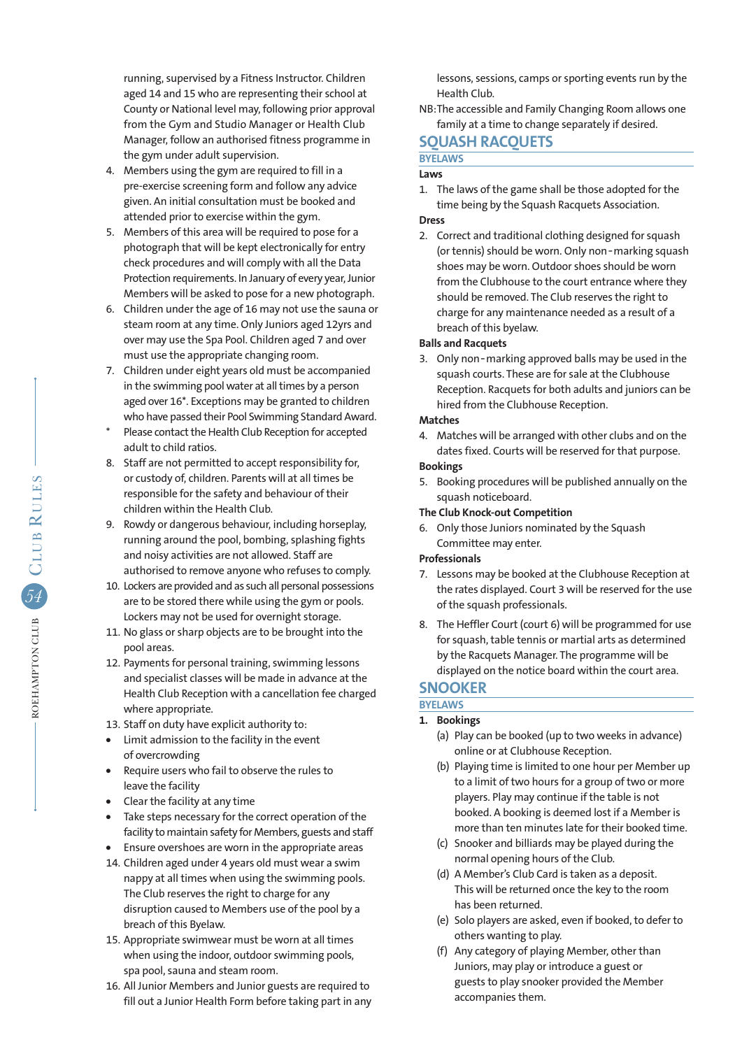running, supervised by a Fitness Instructor. Children aged 14 and 15 who are representing their school at County or National level may, following prior approval from the Gym and Studio Manager or Health Club Manager, follow an authorised fitness programme in the gym under adult supervision.

- 4. Members using the gym are required to fill in a pre-exercise screening form and follow any advice given. An initial consultation must be booked and attended prior to exercise within the gym.
- 5. Members of this area will be required to pose for a photograph that will be kept electronically for entry check procedures and will comply with all the Data Protection requirements. In January of every year, Junior Members will be asked to pose for a new photograph.
- 6. Children under the age of 16 may not use the sauna or steam room at any time. Only Juniors aged 12yrs and over may use the Spa Pool. Children aged 7 and over must use the appropriate changing room.
- 7. Children under eight years old must be accompanied in the swimming pool water at all times by a person aged over 16\*. Exceptions may be granted to children who have passed their Pool Swimming Standard Award.
- Please contact the Health Club Reception for accepted adult to child ratios.
- 8. Staff are not permitted to accept responsibility for, or custody of, children. Parents will at all times be responsible for the safety and behaviour of their children within the Health Club.
- 9. Rowdy or dangerous behaviour, including horseplay, running around the pool, bombing, splashing fights and noisy activities are not allowed. Staff are authorised to remove anyone who refuses to comply.
- 10. Lockers are provided and as such all personal possessions are to be stored there while using the gym or pools. Lockers may not be used for overnight storage.
- 11. No glass or sharp objects are to be brought into the pool areas.
- 12. Payments for personal training, swimming lessons and specialist classes will be made in advance at the Health Club Reception with a cancellation fee charged where appropriate.
- 13. Staff on duty have explicit authority to:
- **•** Limit admission to the facility in the event of overcrowding
- **•** Require users who fail to observe the rules to leave the facility
- **•** Clear the facility at any time
- **•** Take steps necessary for the correct operation of the facility to maintain safety for Members, guests and staff
- **•** Ensure overshoes are worn in the appropriate areas
- 14. Children aged under 4 years old must wear a swim nappy at all times when using the swimming pools. The Club reserves the right to charge for any disruption caused to Members use of the pool by a breach of this Byelaw.
- 15. Appropriate swimwear must be worn at all times when using the indoor, outdoor swimming pools, spa pool, sauna and steam room.
- 16. All Junior Members and Junior guests are required to fill out a Junior Health Form before taking part in any

 lessons, sessions, camps or sporting events run by the Health Club.

NB:The accessible and Family Changing Room allows one family at a time to change separately if desired.

# **SQUASH RACQUETS**

### **BYELAWS**

### **Laws**

1. The laws of the game shall be those adopted for the time being by the Squash Racquets Association.

### **Dress**

2. Correct and traditional clothing designed for squash (or tennis) should be worn. Only non-marking squash shoes may be worn. Outdoor shoes should be worn from the Clubhouse to the court entrance where they should be removed. The Club reserves the right to charge for any maintenance needed as a result of a breach of this byelaw.

### **Balls and Racquets**

3. Only non‑marking approved balls may be used in the squash courts. These are for sale at the Clubhouse Reception. Racquets for both adults and juniors can be hired from the Clubhouse Reception.

### **Matches**

4. Matches will be arranged with other clubs and on the dates fixed. Courts will be reserved for that purpose.

### **Bookings**

5. Booking procedures will be published annually on the squash noticeboard.

### **The Club Knock-out Competition**

6. Only those Juniors nominated by the Squash Committee may enter.

### **Professionals**

- 7. Lessons may be booked at the Clubhouse Reception at the rates displayed. Court 3 will be reserved for the use of the squash professionals.
- 8. The Heffler Court (court 6) will be programmed for use for squash, table tennis or martial arts as determined by the Racquets Manager. The programme will be displayed on the notice board within the court area.

# **SNOOKER**

### **BYELAWS 1. Bookings**

- (a) Play can be booked (up to two weeks in advance) online or at Clubhouse Reception.
- (b) Playing time is limited to one hour per Member up to a limit of two hours for a group of two or more players. Play may continue if the table is not booked. A booking is deemed lost if a Member is more than ten minutes late for their booked time.
- (c) Snooker and billiards may be played during the normal opening hours of the Club.
- (d) A Member's Club Card is taken as a deposit. This will be returned once the key to the room has been returned.
- (e) Solo players are asked, even if booked, to defer to others wanting to play.
- (f) Any category of playing Member, other than Juniors, may play or introduce a guest or guests to play snooker provided the Member accompanies them.